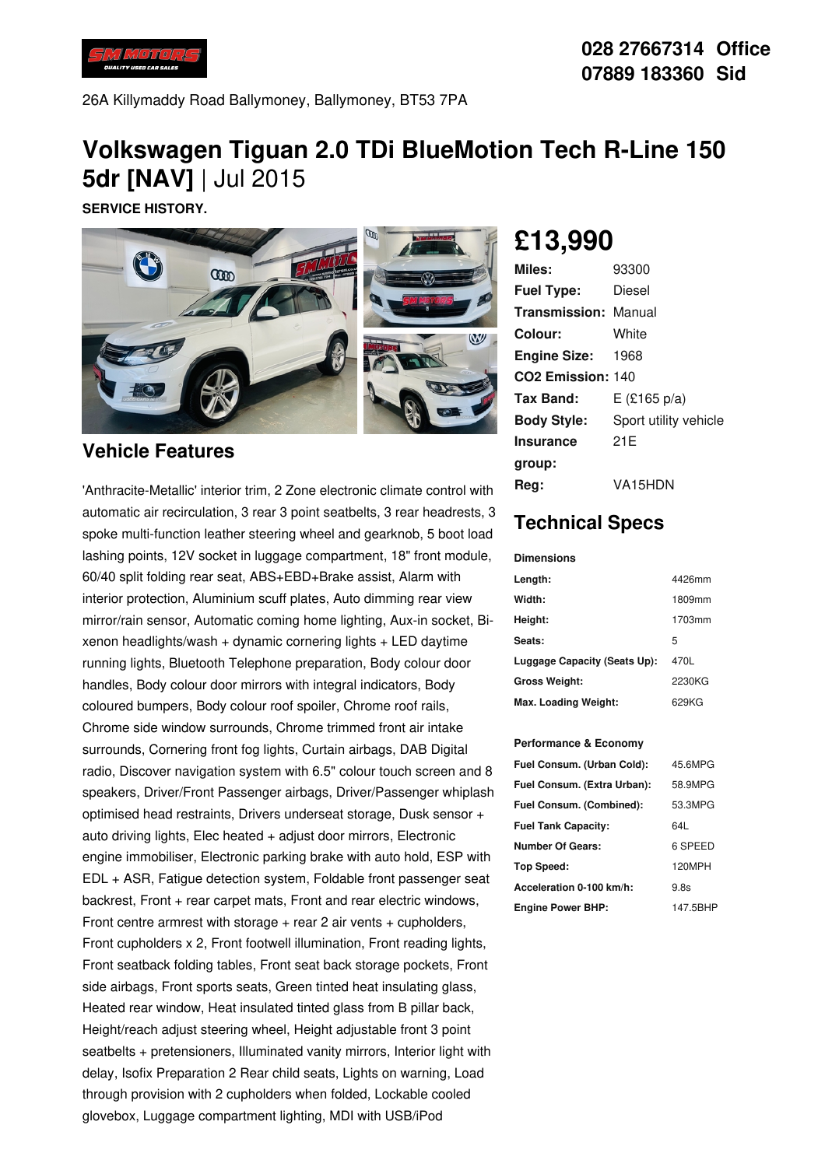

26A Killymaddy Road Ballymoney, Ballymoney, BT53 7PA

## **Volkswagen Tiguan 2.0 TDi BlueMotion Tech R-Line 150 5dr [NAV]** | Jul 2015

**SERVICE HISTORY.**



### **Vehicle Features**

'Anthracite-Metallic' interior trim, 2 Zone electronic climate control with automatic air recirculation, 3 rear 3 point seatbelts, 3 rear headrests, 3 spoke multi-function leather steering wheel and gearknob, 5 boot load lashing points, 12V socket in luggage compartment, 18" front module, 60/40 split folding rear seat, ABS+EBD+Brake assist, Alarm with interior protection, Aluminium scuff plates, Auto dimming rear view mirror/rain sensor, Automatic coming home lighting, Aux-in socket, Bi  $x$ enon headlights/wash  $+$  dynamic cornering lights  $+$  LED daytime running lights, Bluetooth Telephone preparation, Body colour door handles, Body colour door mirrors with integral indicators, Body coloured bumpers, Body colour roof spoiler, Chrome roof rails, Chrome side window surrounds, Chrome trimmed front air intake surrounds, Cornering front fog lights, Curtain airbags, DAB Digital radio, Discover navigation system with 6.5" colour touch screen and 8 speakers, Driver/Front Passenger airbags, Driver/Passenger whiplash optimised head restraints, Drivers underseat storage, Dusk sensor + auto driving lights, Elec heated + adjust door mirrors, Electronic engine immobiliser, Electronic parking brake with auto hold, ESP with EDL + ASR, Fatigue detection system, Foldable front passenger seat backrest, Front + rear carpet mats, Front and rear electric windows, Front centre armrest with storage  $+$  rear 2 air vents  $+$  cupholders, Front cupholders x 2, Front footwell illumination, Front reading lights, Front seatback folding tables, Front seat back storage pockets, Front side airbags, Front sports seats, Green tinted heat insulating glass, Heated rear window, Heat insulated tinted glass from B pillar back, Height/reach adjust steering wheel, Height adjustable front 3 point seatbelts + pretensioners, Illuminated vanity mirrors, Interior light with delay, Isofix Preparation 2 Rear child seats, Lights on warning, Load through provision with 2 cupholders when folded, Lockable cooled glovebox, Luggage compartment lighting, MDI with USB/iPod

# **£13,990**

| Miles:                        | 93300                 |
|-------------------------------|-----------------------|
| <b>Fuel Type:</b>             | Diesel                |
| <b>Transmission: Manual</b>   |                       |
| Colour:                       | White                 |
| <b>Engine Size: 1968</b>      |                       |
| CO <sub>2</sub> Emission: 140 |                       |
| Tax Band:                     | E (£165 p/a)          |
| <b>Body Style:</b>            | Sport utility vehicle |
| <b>Insurance</b>              | 21 E                  |
| group:                        |                       |
| Reg:                          | VA15HDN               |

## **Technical Specs**

#### **Dimensions**

| Length:                      | 4426mm |
|------------------------------|--------|
| Width:                       | 1809mm |
| Height:                      | 1703mm |
| Seats:                       | 5      |
| Luggage Capacity (Seats Up): | 470L   |
| <b>Gross Weight:</b>         | 2230KG |
| Max. Loading Weight:         | 629KG  |

#### **Performance & Economy**

| Fuel Consum. (Urban Cold):  | 45.6MPG  |
|-----------------------------|----------|
| Fuel Consum. (Extra Urban): | 58.9MPG  |
| Fuel Consum. (Combined):    | 53.3MPG  |
| <b>Fuel Tank Capacity:</b>  | 641      |
| Number Of Gears:            | 6 SPEED  |
| <b>Top Speed:</b>           | 120MPH   |
| Acceleration 0-100 km/h:    | 9.8s     |
| <b>Engine Power BHP:</b>    | 147.5BHP |